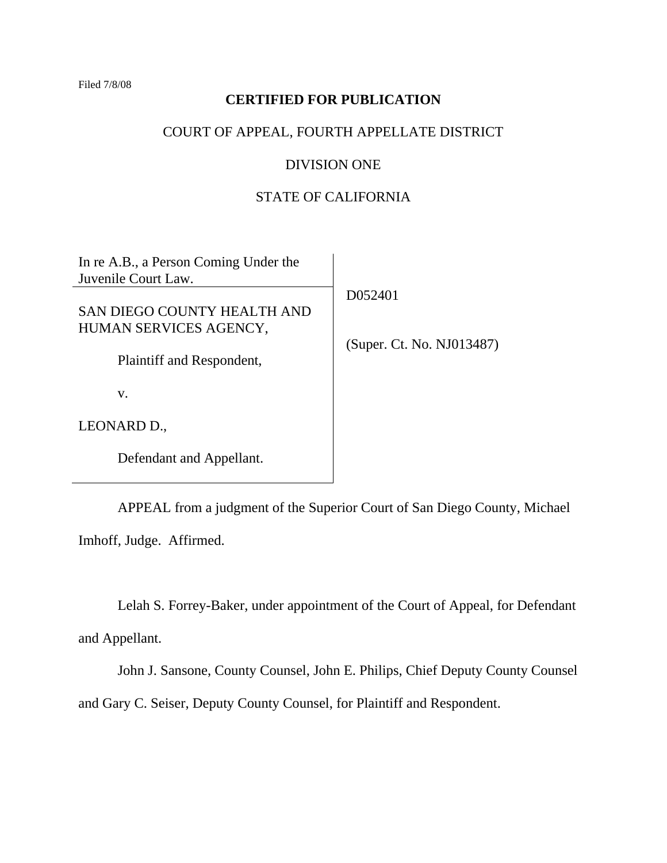Filed 7/8/08

# **CERTIFIED FOR PUBLICATION**

# COURT OF APPEAL, FOURTH APPELLATE DISTRICT

## DIVISION ONE

# STATE OF CALIFORNIA

| In re A.B., a Person Coming Under the<br>Juvenile Court Law. |                                      |
|--------------------------------------------------------------|--------------------------------------|
| SAN DIEGO COUNTY HEALTH AND<br>HUMAN SERVICES AGENCY,        | D052401<br>(Super. Ct. No. NJ013487) |
| Plaintiff and Respondent,                                    |                                      |
| V.                                                           |                                      |
| LEONARD D.,                                                  |                                      |
| Defendant and Appellant.                                     |                                      |

 APPEAL from a judgment of the Superior Court of San Diego County, Michael Imhoff, Judge. Affirmed.

 Lelah S. Forrey-Baker, under appointment of the Court of Appeal, for Defendant and Appellant.

 John J. Sansone, County Counsel, John E. Philips, Chief Deputy County Counsel and Gary C. Seiser, Deputy County Counsel, for Plaintiff and Respondent.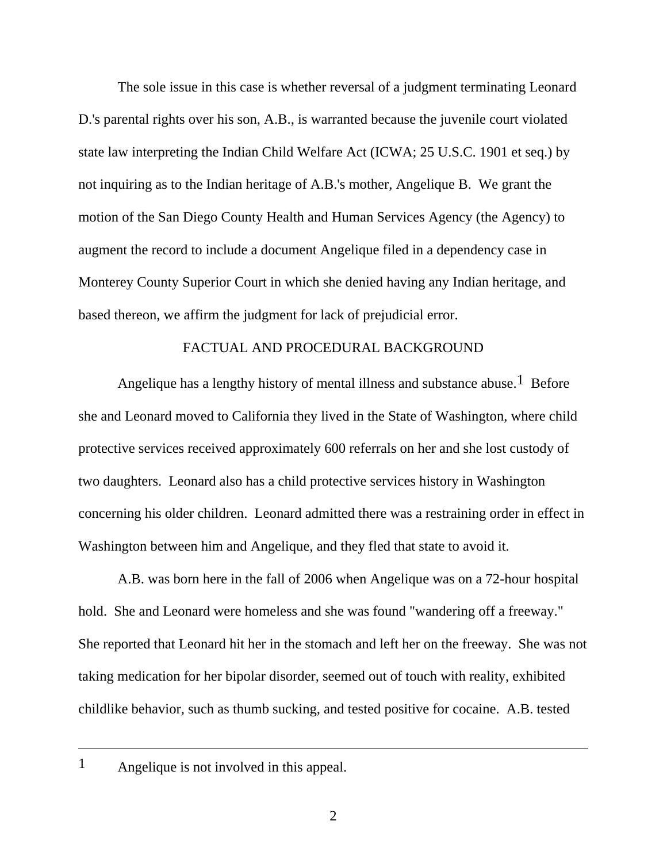The sole issue in this case is whether reversal of a judgment terminating Leonard D.'s parental rights over his son, A.B., is warranted because the juvenile court violated state law interpreting the Indian Child Welfare Act (ICWA; 25 U.S.C. 1901 et seq.) by not inquiring as to the Indian heritage of A.B.'s mother, Angelique B. We grant the motion of the San Diego County Health and Human Services Agency (the Agency) to augment the record to include a document Angelique filed in a dependency case in Monterey County Superior Court in which she denied having any Indian heritage, and based thereon, we affirm the judgment for lack of prejudicial error.

## FACTUAL AND PROCEDURAL BACKGROUND

Angelique has a lengthy history of mental illness and substance abuse.<sup>1</sup> Before she and Leonard moved to California they lived in the State of Washington, where child protective services received approximately 600 referrals on her and she lost custody of two daughters. Leonard also has a child protective services history in Washington concerning his older children. Leonard admitted there was a restraining order in effect in Washington between him and Angelique, and they fled that state to avoid it.

 A.B. was born here in the fall of 2006 when Angelique was on a 72-hour hospital hold. She and Leonard were homeless and she was found "wandering off a freeway." She reported that Leonard hit her in the stomach and left her on the freeway. She was not taking medication for her bipolar disorder, seemed out of touch with reality, exhibited childlike behavior, such as thumb sucking, and tested positive for cocaine. A.B. tested

1 Angelique is not involved in this appeal.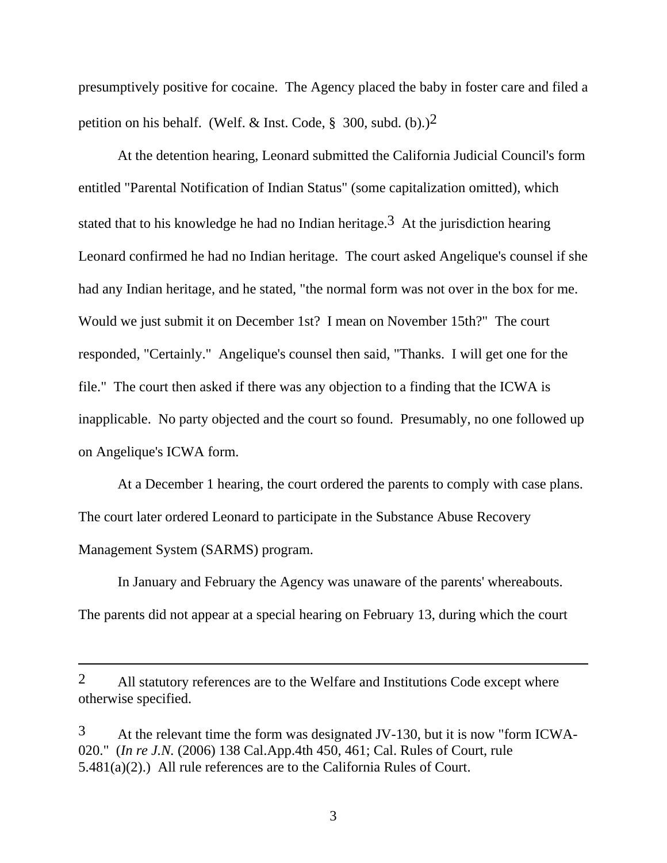presumptively positive for cocaine. The Agency placed the baby in foster care and filed a petition on his behalf. (Welf. & Inst. Code,  $\S$  300, subd. (b).)<sup>2</sup>

 At the detention hearing, Leonard submitted the California Judicial Council's form entitled "Parental Notification of Indian Status" (some capitalization omitted), which stated that to his knowledge he had no Indian heritage.<sup>3</sup> At the jurisdiction hearing Leonard confirmed he had no Indian heritage. The court asked Angelique's counsel if she had any Indian heritage, and he stated, "the normal form was not over in the box for me. Would we just submit it on December 1st? I mean on November 15th?" The court responded, "Certainly." Angelique's counsel then said, "Thanks. I will get one for the file." The court then asked if there was any objection to a finding that the ICWA is inapplicable. No party objected and the court so found. Presumably, no one followed up on Angelique's ICWA form.

 At a December 1 hearing, the court ordered the parents to comply with case plans. The court later ordered Leonard to participate in the Substance Abuse Recovery Management System (SARMS) program.

 In January and February the Agency was unaware of the parents' whereabouts. The parents did not appear at a special hearing on February 13, during which the court

 $\overline{a}$ 

<sup>2</sup> All statutory references are to the Welfare and Institutions Code except where otherwise specified.

<sup>3</sup> At the relevant time the form was designated JV-130, but it is now "form ICWA-020." (*In re J.N.* (2006) 138 Cal.App.4th 450, 461; Cal. Rules of Court, rule 5.481(a)(2).) All rule references are to the California Rules of Court.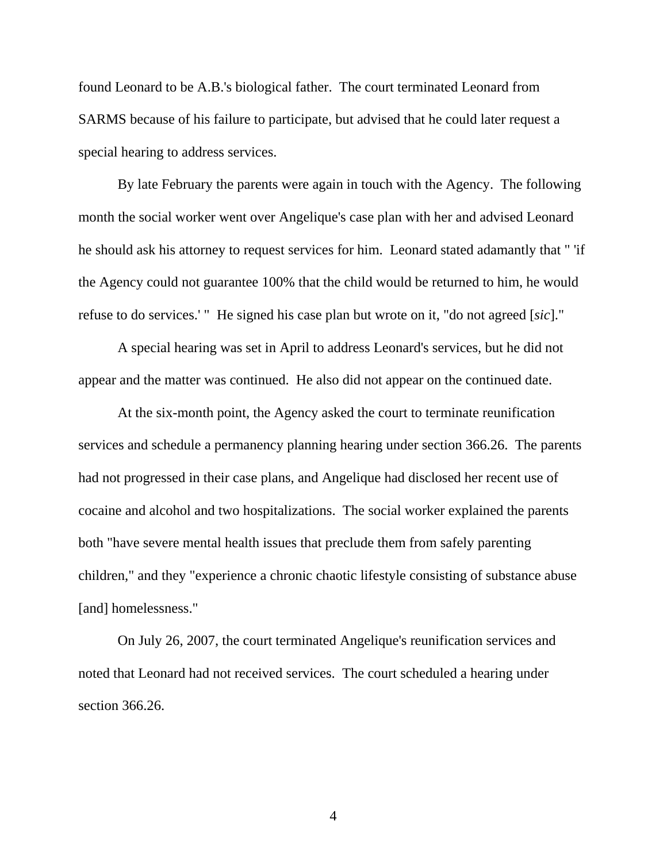found Leonard to be A.B.'s biological father. The court terminated Leonard from SARMS because of his failure to participate, but advised that he could later request a special hearing to address services.

 By late February the parents were again in touch with the Agency. The following month the social worker went over Angelique's case plan with her and advised Leonard he should ask his attorney to request services for him. Leonard stated adamantly that " 'if the Agency could not guarantee 100% that the child would be returned to him, he would refuse to do services.' " He signed his case plan but wrote on it, "do not agreed [*sic*]."

 A special hearing was set in April to address Leonard's services, but he did not appear and the matter was continued. He also did not appear on the continued date.

 At the six-month point, the Agency asked the court to terminate reunification services and schedule a permanency planning hearing under section 366.26. The parents had not progressed in their case plans, and Angelique had disclosed her recent use of cocaine and alcohol and two hospitalizations. The social worker explained the parents both "have severe mental health issues that preclude them from safely parenting children," and they "experience a chronic chaotic lifestyle consisting of substance abuse [and] homelessness."

 On July 26, 2007, the court terminated Angelique's reunification services and noted that Leonard had not received services. The court scheduled a hearing under section 366.26.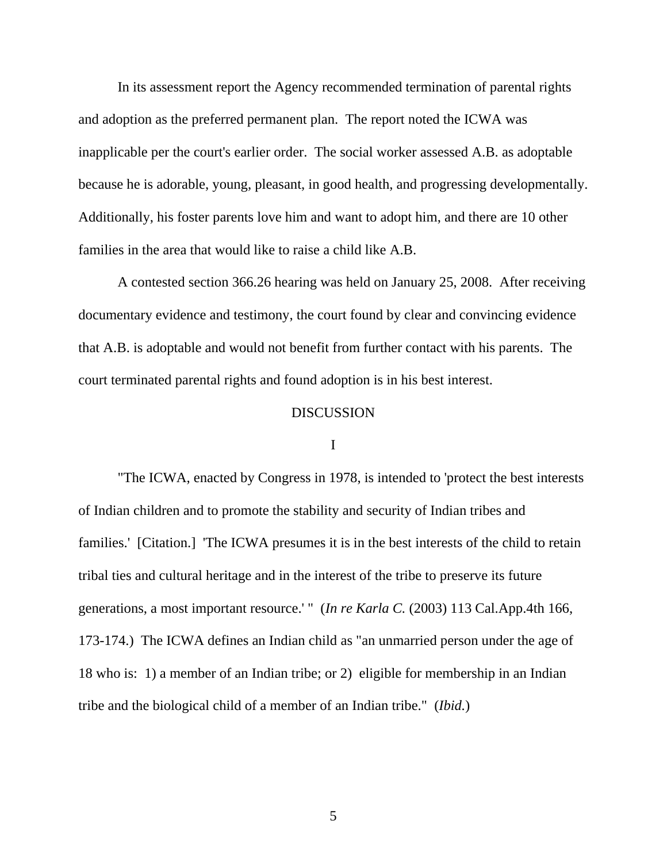In its assessment report the Agency recommended termination of parental rights and adoption as the preferred permanent plan. The report noted the ICWA was inapplicable per the court's earlier order. The social worker assessed A.B. as adoptable because he is adorable, young, pleasant, in good health, and progressing developmentally. Additionally, his foster parents love him and want to adopt him, and there are 10 other families in the area that would like to raise a child like A.B.

 A contested section 366.26 hearing was held on January 25, 2008. After receiving documentary evidence and testimony, the court found by clear and convincing evidence that A.B. is adoptable and would not benefit from further contact with his parents. The court terminated parental rights and found adoption is in his best interest.

## DISCUSSION

#### I

 "The ICWA, enacted by Congress in 1978, is intended to 'protect the best interests of Indian children and to promote the stability and security of Indian tribes and families.' [Citation.] 'The ICWA presumes it is in the best interests of the child to retain tribal ties and cultural heritage and in the interest of the tribe to preserve its future generations, a most important resource.' " (*In re Karla C.* (2003) 113 Cal.App.4th 166, 173-174.) The ICWA defines an Indian child as "an unmarried person under the age of 18 who is: 1) a member of an Indian tribe; or 2) eligible for membership in an Indian tribe and the biological child of a member of an Indian tribe." (*Ibid.*)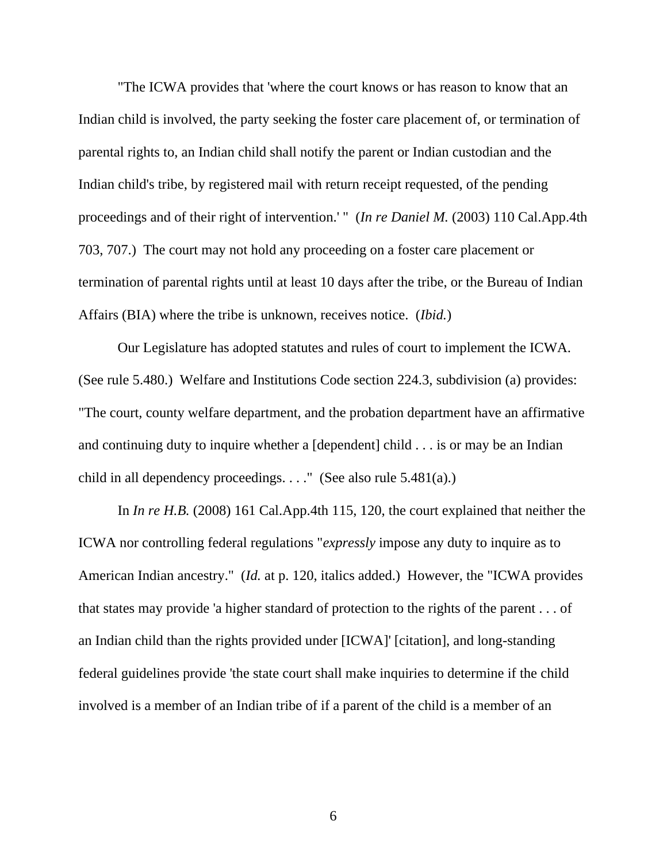"The ICWA provides that 'where the court knows or has reason to know that an Indian child is involved, the party seeking the foster care placement of, or termination of parental rights to, an Indian child shall notify the parent or Indian custodian and the Indian child's tribe, by registered mail with return receipt requested, of the pending proceedings and of their right of intervention.' " (*In re Daniel M.* (2003) 110 Cal.App.4th 703, 707.) The court may not hold any proceeding on a foster care placement or termination of parental rights until at least 10 days after the tribe, or the Bureau of Indian Affairs (BIA) where the tribe is unknown, receives notice. (*Ibid.*)

 Our Legislature has adopted statutes and rules of court to implement the ICWA. (See rule 5.480.) Welfare and Institutions Code section 224.3, subdivision (a) provides: "The court, county welfare department, and the probation department have an affirmative and continuing duty to inquire whether a [dependent] child . . . is or may be an Indian child in all dependency proceedings. . . ." (See also rule 5.481(a).)

In *In re H.B.* (2008) 161 Cal.App.4th 115, 120, the court explained that neither the ICWA nor controlling federal regulations "*expressly* impose any duty to inquire as to American Indian ancestry." (*Id.* at p. 120, italics added.) However, the "ICWA provides that states may provide 'a higher standard of protection to the rights of the parent . . . of an Indian child than the rights provided under [ICWA]' [citation], and long-standing federal guidelines provide 'the state court shall make inquiries to determine if the child involved is a member of an Indian tribe of if a parent of the child is a member of an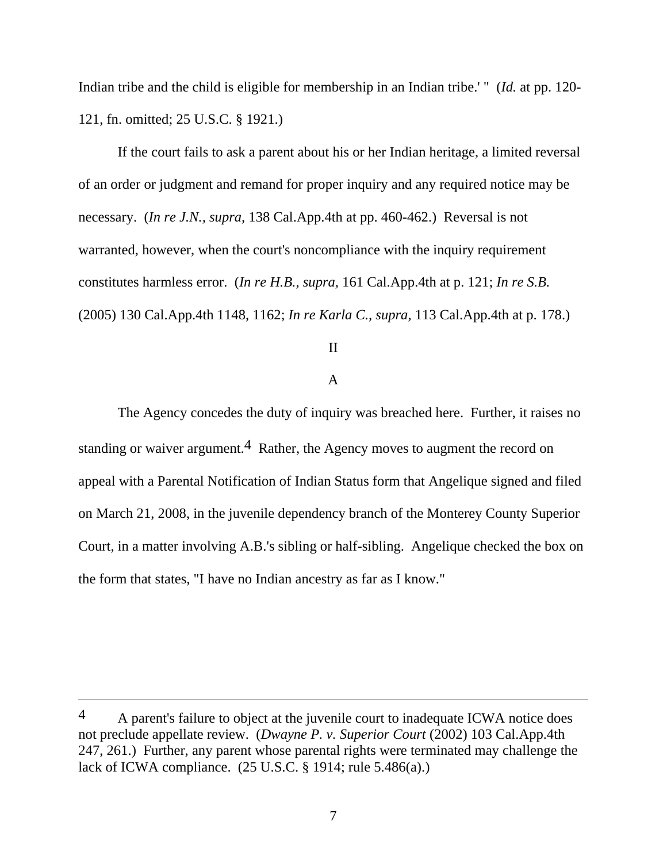Indian tribe and the child is eligible for membership in an Indian tribe.' " (*Id.* at pp. 120- 121, fn. omitted; 25 U.S.C. § 1921.)

 If the court fails to ask a parent about his or her Indian heritage, a limited reversal of an order or judgment and remand for proper inquiry and any required notice may be necessary. (*In re J.N., supra,* 138 Cal.App.4th at pp. 460-462.) Reversal is not warranted, however, when the court's noncompliance with the inquiry requirement constitutes harmless error. (*In re H.B., supra,* 161 Cal.App.4th at p. 121; *In re S.B.*  (2005) 130 Cal.App.4th 1148, 1162; *In re Karla C., supra,* 113 Cal.App.4th at p. 178.)

## II

## A

 The Agency concedes the duty of inquiry was breached here. Further, it raises no standing or waiver argument.<sup>4</sup> Rather, the Agency moves to augment the record on appeal with a Parental Notification of Indian Status form that Angelique signed and filed on March 21, 2008, in the juvenile dependency branch of the Monterey County Superior Court, in a matter involving A.B.'s sibling or half-sibling. Angelique checked the box on the form that states, "I have no Indian ancestry as far as I know."

 $\overline{a}$ 

<sup>4</sup> A parent's failure to object at the juvenile court to inadequate ICWA notice does not preclude appellate review. (*Dwayne P. v. Superior Court* (2002) 103 Cal.App.4th 247, 261.) Further, any parent whose parental rights were terminated may challenge the lack of ICWA compliance. (25 U.S.C. § 1914; rule 5.486(a).)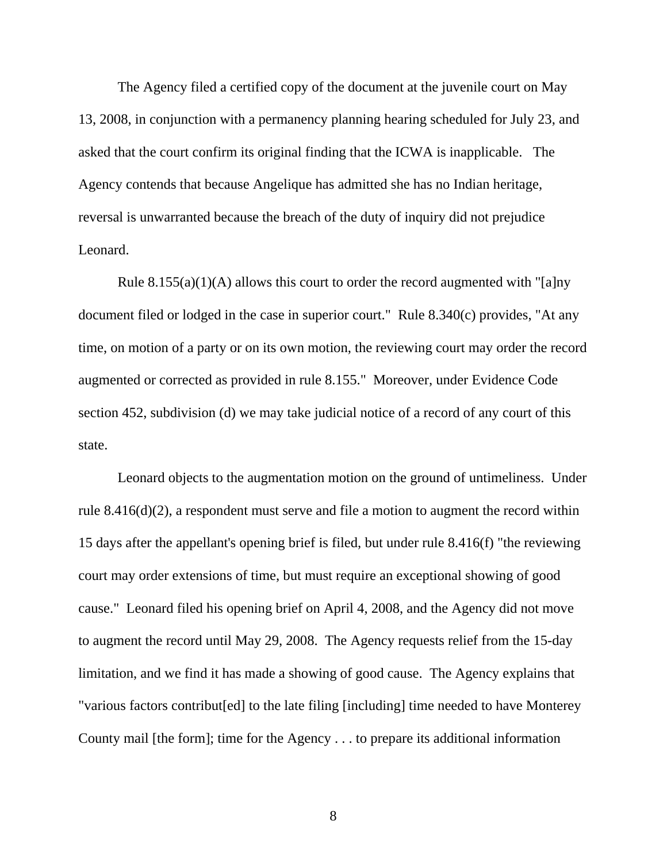The Agency filed a certified copy of the document at the juvenile court on May 13, 2008, in conjunction with a permanency planning hearing scheduled for July 23, and asked that the court confirm its original finding that the ICWA is inapplicable. The Agency contends that because Angelique has admitted she has no Indian heritage, reversal is unwarranted because the breach of the duty of inquiry did not prejudice Leonard.

Rule  $8.155(a)(1)(A)$  allows this court to order the record augmented with "[a]ny document filed or lodged in the case in superior court." Rule 8.340(c) provides, "At any time, on motion of a party or on its own motion, the reviewing court may order the record augmented or corrected as provided in rule 8.155." Moreover, under Evidence Code section 452, subdivision (d) we may take judicial notice of a record of any court of this state.

 Leonard objects to the augmentation motion on the ground of untimeliness. Under rule 8.416(d)(2), a respondent must serve and file a motion to augment the record within 15 days after the appellant's opening brief is filed, but under rule 8.416(f) "the reviewing court may order extensions of time, but must require an exceptional showing of good cause." Leonard filed his opening brief on April 4, 2008, and the Agency did not move to augment the record until May 29, 2008. The Agency requests relief from the 15-day limitation, and we find it has made a showing of good cause. The Agency explains that "various factors contribut[ed] to the late filing [including] time needed to have Monterey County mail [the form]; time for the Agency . . . to prepare its additional information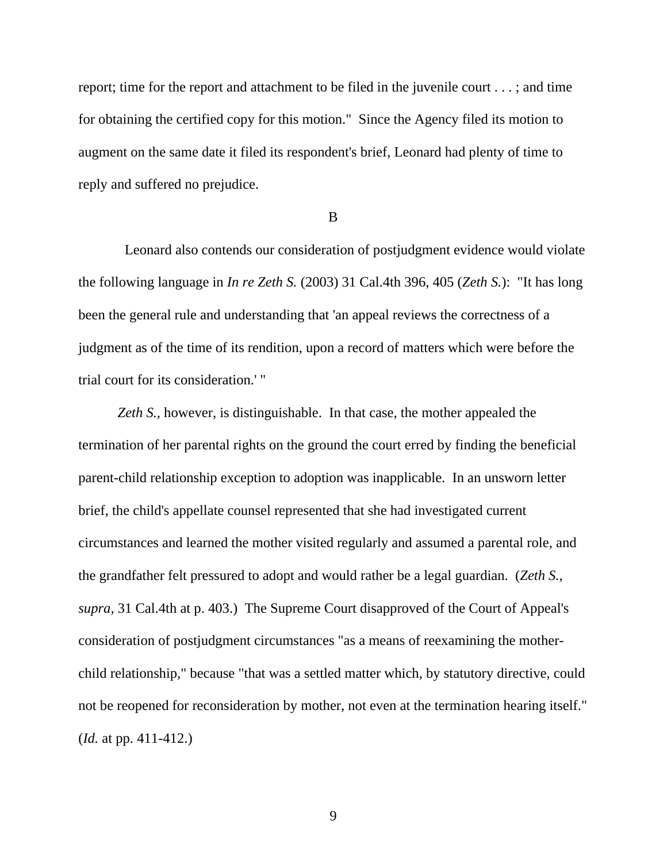report; time for the report and attachment to be filed in the juvenile court . . . ; and time for obtaining the certified copy for this motion." Since the Agency filed its motion to augment on the same date it filed its respondent's brief, Leonard had plenty of time to reply and suffered no prejudice.

### B

 Leonard also contends our consideration of postjudgment evidence would violate the following language in *In re Zeth S.* (2003) 31 Cal.4th 396, 405 (*Zeth S.*): "It has long been the general rule and understanding that 'an appeal reviews the correctness of a judgment as of the time of its rendition, upon a record of matters which were before the trial court for its consideration.' "

*Zeth S.,* however, is distinguishable. In that case, the mother appealed the termination of her parental rights on the ground the court erred by finding the beneficial parent-child relationship exception to adoption was inapplicable. In an unsworn letter brief, the child's appellate counsel represented that she had investigated current circumstances and learned the mother visited regularly and assumed a parental role, and the grandfather felt pressured to adopt and would rather be a legal guardian. (*Zeth S., supra,* 31 Cal.4th at p. 403.) The Supreme Court disapproved of the Court of Appeal's consideration of postjudgment circumstances "as a means of reexamining the motherchild relationship," because "that was a settled matter which, by statutory directive, could not be reopened for reconsideration by mother, not even at the termination hearing itself." (*Id.* at pp. 411-412.)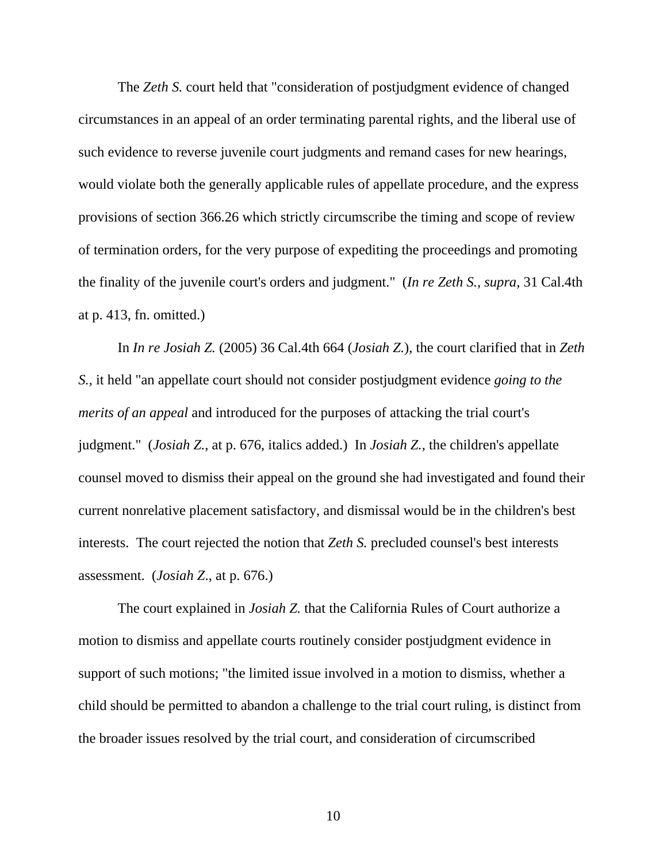The *Zeth S.* court held that "consideration of postjudgment evidence of changed circumstances in an appeal of an order terminating parental rights, and the liberal use of such evidence to reverse juvenile court judgments and remand cases for new hearings, would violate both the generally applicable rules of appellate procedure, and the express provisions of section 366.26 which strictly circumscribe the timing and scope of review of termination orders, for the very purpose of expediting the proceedings and promoting the finality of the juvenile court's orders and judgment." (*In re Zeth S., supra,* 31 Cal.4th at p. 413, fn. omitted.)

 In *In re Josiah Z.* (2005) 36 Cal.4th 664 (*Josiah Z.*), the court clarified that in *Zeth S.,* it held "an appellate court should not consider postjudgment evidence *going to the merits of an appeal* and introduced for the purposes of attacking the trial court's judgment." (*Josiah Z.*, at p. 676, italics added.) In *Josiah Z.,* the children's appellate counsel moved to dismiss their appeal on the ground she had investigated and found their current nonrelative placement satisfactory, and dismissal would be in the children's best interests. The court rejected the notion that *Zeth S.* precluded counsel's best interests assessment. (*Josiah Z*., at p. 676.)

 The court explained in *Josiah Z.* that the California Rules of Court authorize a motion to dismiss and appellate courts routinely consider postjudgment evidence in support of such motions; "the limited issue involved in a motion to dismiss, whether a child should be permitted to abandon a challenge to the trial court ruling, is distinct from the broader issues resolved by the trial court, and consideration of circumscribed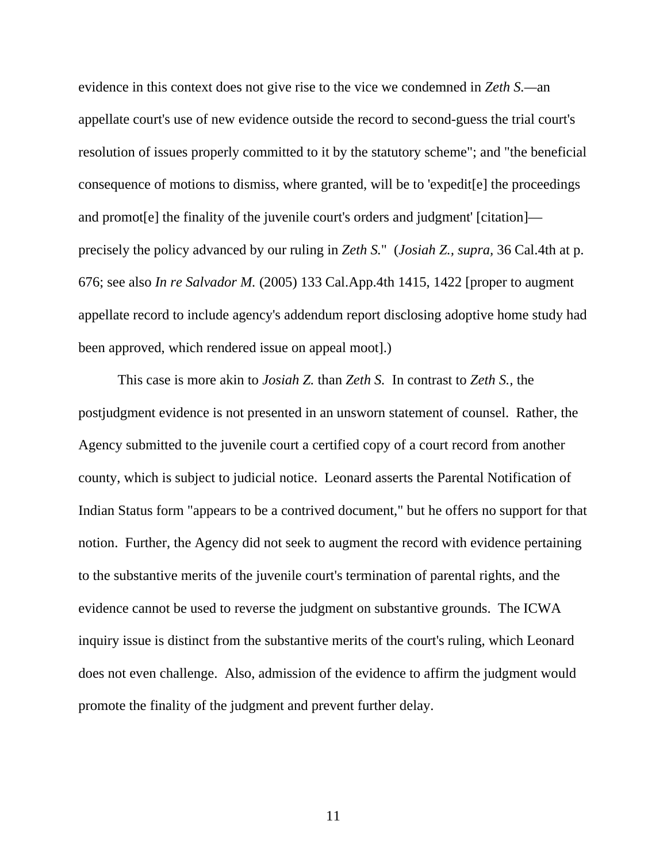evidence in this context does not give rise to the vice we condemned in *Zeth S.—*an appellate court's use of new evidence outside the record to second-guess the trial court's resolution of issues properly committed to it by the statutory scheme"; and "the beneficial consequence of motions to dismiss, where granted, will be to 'expedit[e] the proceedings and promot[e] the finality of the juvenile court's orders and judgment' [citation] precisely the policy advanced by our ruling in *Zeth S.*" (*Josiah Z., supra,* 36 Cal.4th at p. 676; see also *In re Salvador M.* (2005) 133 Cal.App.4th 1415, 1422 [proper to augment appellate record to include agency's addendum report disclosing adoptive home study had been approved, which rendered issue on appeal moot].)

 This case is more akin to *Josiah Z.* than *Zeth S.* In contrast to *Zeth S.,* the postjudgment evidence is not presented in an unsworn statement of counsel. Rather, the Agency submitted to the juvenile court a certified copy of a court record from another county, which is subject to judicial notice. Leonard asserts the Parental Notification of Indian Status form "appears to be a contrived document," but he offers no support for that notion. Further, the Agency did not seek to augment the record with evidence pertaining to the substantive merits of the juvenile court's termination of parental rights, and the evidence cannot be used to reverse the judgment on substantive grounds. The ICWA inquiry issue is distinct from the substantive merits of the court's ruling, which Leonard does not even challenge. Also, admission of the evidence to affirm the judgment would promote the finality of the judgment and prevent further delay.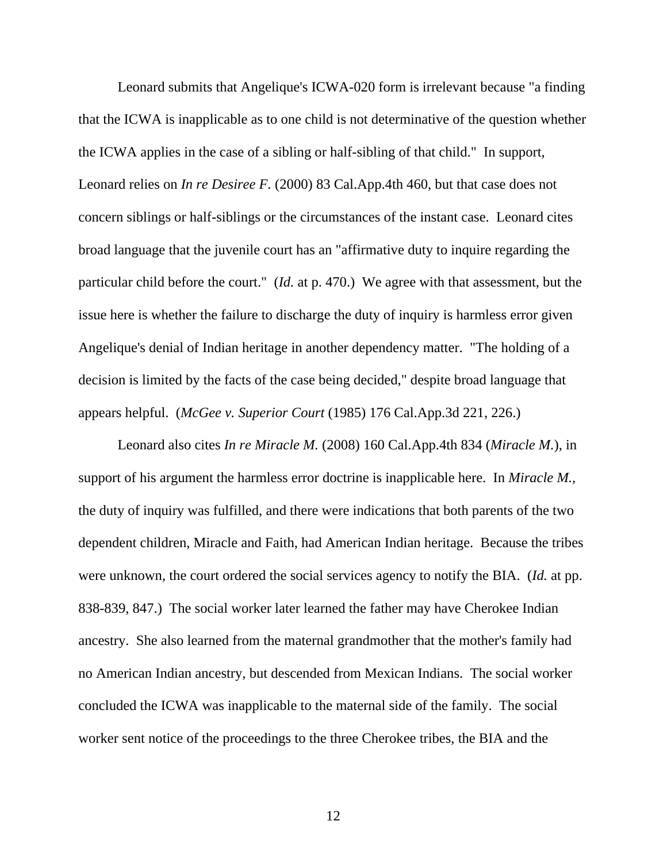Leonard submits that Angelique's ICWA-020 form is irrelevant because "a finding that the ICWA is inapplicable as to one child is not determinative of the question whether the ICWA applies in the case of a sibling or half-sibling of that child." In support, Leonard relies on *In re Desiree F.* (2000) 83 Cal.App.4th 460, but that case does not concern siblings or half-siblings or the circumstances of the instant case. Leonard cites broad language that the juvenile court has an "affirmative duty to inquire regarding the particular child before the court." (*Id.* at p. 470.) We agree with that assessment, but the issue here is whether the failure to discharge the duty of inquiry is harmless error given Angelique's denial of Indian heritage in another dependency matter. "The holding of a decision is limited by the facts of the case being decided," despite broad language that appears helpful. (*McGee v. Superior Court* (1985) 176 Cal.App.3d 221, 226.)

 Leonard also cites *In re Miracle M.* (2008) 160 Cal.App.4th 834 (*Miracle M.*), in support of his argument the harmless error doctrine is inapplicable here. In *Miracle M.,*  the duty of inquiry was fulfilled, and there were indications that both parents of the two dependent children, Miracle and Faith, had American Indian heritage. Because the tribes were unknown, the court ordered the social services agency to notify the BIA. (*Id.* at pp. 838-839, 847.) The social worker later learned the father may have Cherokee Indian ancestry. She also learned from the maternal grandmother that the mother's family had no American Indian ancestry, but descended from Mexican Indians. The social worker concluded the ICWA was inapplicable to the maternal side of the family. The social worker sent notice of the proceedings to the three Cherokee tribes, the BIA and the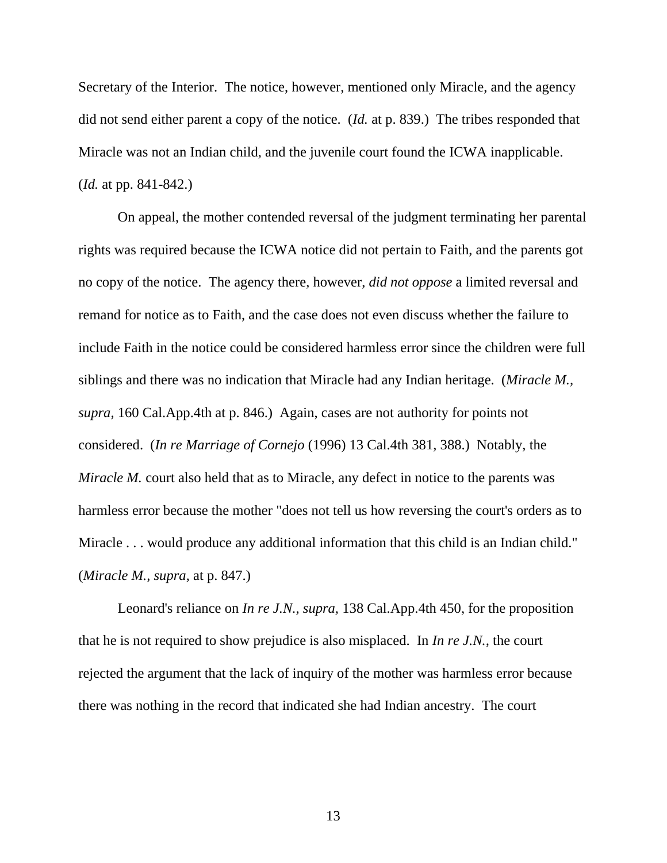Secretary of the Interior. The notice, however, mentioned only Miracle, and the agency did not send either parent a copy of the notice. (*Id.* at p. 839.) The tribes responded that Miracle was not an Indian child, and the juvenile court found the ICWA inapplicable. (*Id.* at pp. 841-842.)

 On appeal, the mother contended reversal of the judgment terminating her parental rights was required because the ICWA notice did not pertain to Faith, and the parents got no copy of the notice. The agency there, however, *did not oppose* a limited reversal and remand for notice as to Faith, and the case does not even discuss whether the failure to include Faith in the notice could be considered harmless error since the children were full siblings and there was no indication that Miracle had any Indian heritage. (*Miracle M., supra,* 160 Cal.App.4th at p. 846.) Again, cases are not authority for points not considered. (*In re Marriage of Cornejo* (1996) 13 Cal.4th 381, 388.) Notably, the *Miracle M.* court also held that as to Miracle, any defect in notice to the parents was harmless error because the mother "does not tell us how reversing the court's orders as to Miracle . . . would produce any additional information that this child is an Indian child." (*Miracle M., supra,* at p. 847.)

 Leonard's reliance on *In re J.N., supra,* 138 Cal.App.4th 450, for the proposition that he is not required to show prejudice is also misplaced. In *In re J.N.,* the court rejected the argument that the lack of inquiry of the mother was harmless error because there was nothing in the record that indicated she had Indian ancestry. The court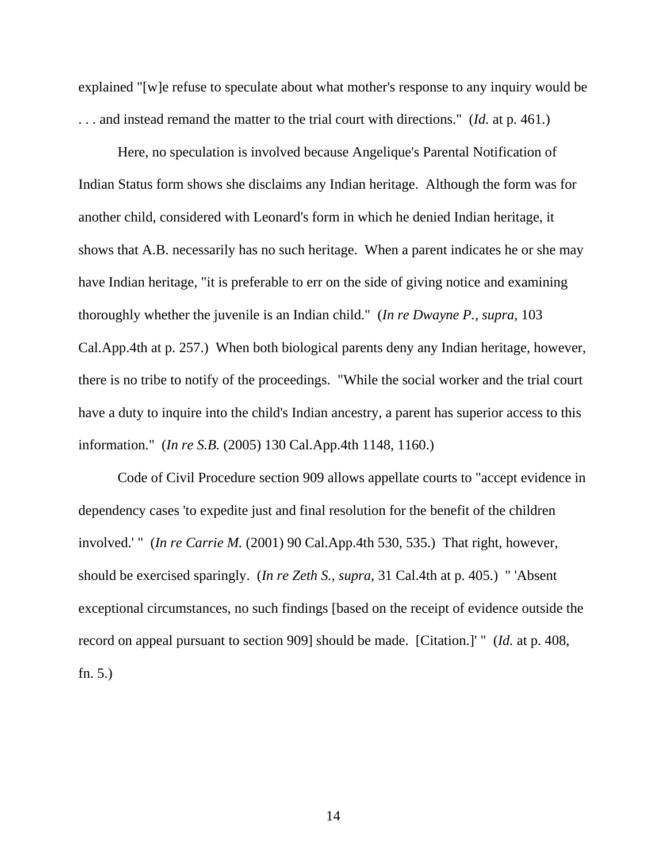explained "[w]e refuse to speculate about what mother's response to any inquiry would be . . . and instead remand the matter to the trial court with directions." (*Id.* at p. 461.)

 Here, no speculation is involved because Angelique's Parental Notification of Indian Status form shows she disclaims any Indian heritage. Although the form was for another child, considered with Leonard's form in which he denied Indian heritage, it shows that A.B. necessarily has no such heritage. When a parent indicates he or she may have Indian heritage, "it is preferable to err on the side of giving notice and examining thoroughly whether the juvenile is an Indian child." (*In re Dwayne P., supra,* 103 Cal.App.4th at p. 257.) When both biological parents deny any Indian heritage, however, there is no tribe to notify of the proceedings. "While the social worker and the trial court have a duty to inquire into the child's Indian ancestry, a parent has superior access to this information." (*In re S.B.* (2005) 130 Cal.App.4th 1148, 1160.)

 Code of Civil Procedure section 909 allows appellate courts to "accept evidence in dependency cases 'to expedite just and final resolution for the benefit of the children involved.' " (*In re Carrie M.* (2001) 90 Cal.App.4th 530, 535.) That right, however, should be exercised sparingly. (*In re Zeth S., supra,* 31 Cal.4th at p. 405.) " 'Absent exceptional circumstances, no such findings [based on the receipt of evidence outside the record on appeal pursuant to section 909] should be made. [Citation.]' " (*Id.* at p. 408, fn. 5.)